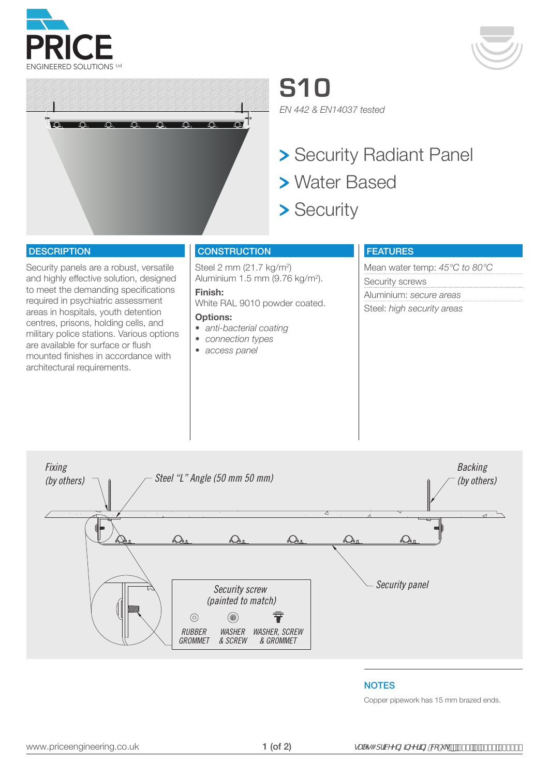





**S10** *EN 442 & EN14037 tested*

> Security Radiant Panel

- Water Based
- > Security

### **DESCRIPTION**

Security panels are a robust, versatile and highly effective solution, designed to meet the demanding specifications required in psychiatric assessment areas in hospitals, youth detention centres, prisons, holding cells, and military police stations. Various options are available for surface or flush mounted finishes in accordance with architectural requirements.

## **CONSTRUCTION**

Steel 2 mm (21.7 kg/m<sup>2</sup>) Aluminium 1.5 mm (9.76 kg/m2 ).

White RAL 9010 powder coated.

#### **Options:**

**Finish:** 

- *• anti-bacterial coating*
- *• connection types*
- *• access panel*

## FEATURES

Mean water temp: *45°C to 80°C* Security screws Aluminium: *secure areas* Steel: *high security areas*



#### **NOTES**

Copper pipework has 15 mm brazed ends.